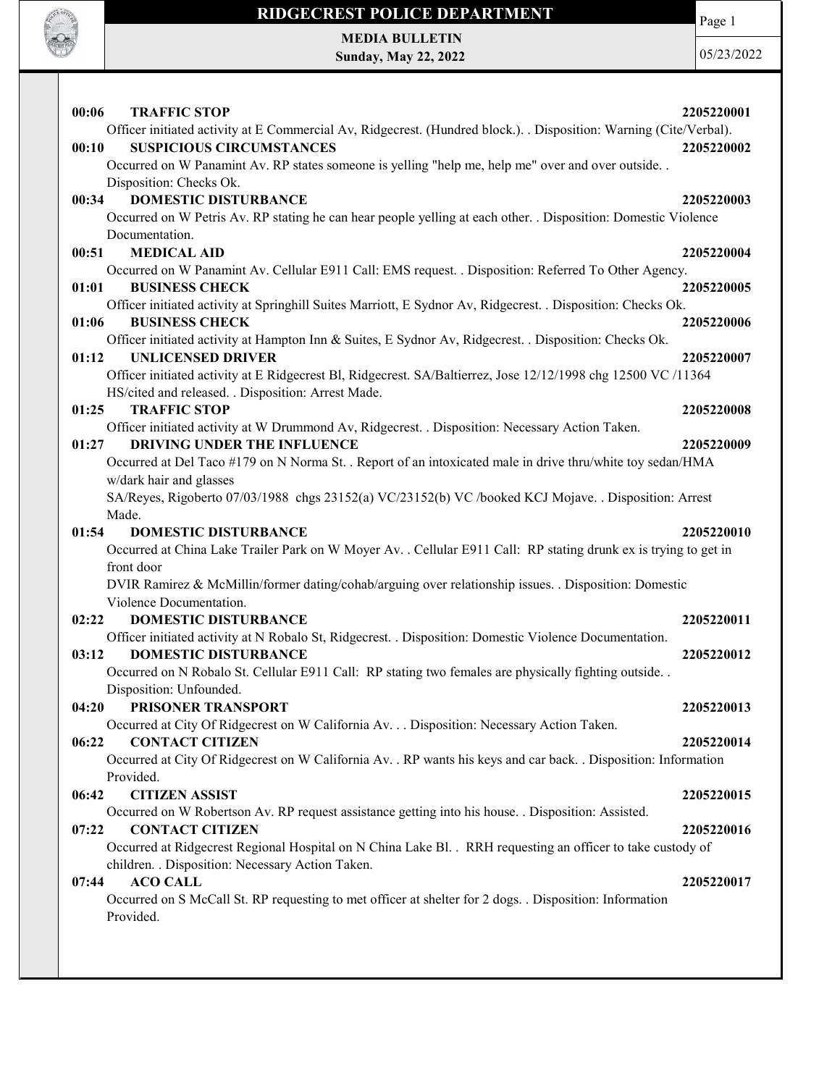

# RIDGECREST POLICE DEPARTMENT MEDIA BULLETIN

Sunday, May 22, 2022

Page 1

05/23/2022

| <b>TRAFFIC STOP</b><br>00:06<br>Officer initiated activity at E Commercial Av, Ridgecrest. (Hundred block.). . Disposition: Warning (Cite/Verbal). | 2205220001 |
|----------------------------------------------------------------------------------------------------------------------------------------------------|------------|
| <b>SUSPICIOUS CIRCUMSTANCES</b><br>00:10<br>Occurred on W Panamint Av. RP states someone is yelling "help me, help me" over and over outside       | 2205220002 |
| Disposition: Checks Ok.                                                                                                                            |            |
| <b>DOMESTIC DISTURBANCE</b><br>00:34                                                                                                               | 2205220003 |
| Occurred on W Petris Av. RP stating he can hear people yelling at each other. . Disposition: Domestic Violence                                     |            |
| Documentation.                                                                                                                                     |            |
| <b>MEDICAL AID</b><br>00:51                                                                                                                        | 2205220004 |
| Occurred on W Panamint Av. Cellular E911 Call: EMS request. . Disposition: Referred To Other Agency.                                               |            |
| <b>BUSINESS CHECK</b><br>01:01                                                                                                                     | 2205220005 |
| Officer initiated activity at Springhill Suites Marriott, E Sydnor Av, Ridgecrest. . Disposition: Checks Ok.                                       |            |
| <b>BUSINESS CHECK</b><br>01:06                                                                                                                     | 2205220006 |
| Officer initiated activity at Hampton Inn & Suites, E Sydnor Av, Ridgecrest. . Disposition: Checks Ok.                                             |            |
| <b>UNLICENSED DRIVER</b><br>01:12                                                                                                                  | 2205220007 |
| Officer initiated activity at E Ridgecrest Bl, Ridgecrest. SA/Baltierrez, Jose 12/12/1998 chg 12500 VC /11364                                      |            |
| HS/cited and released. . Disposition: Arrest Made.                                                                                                 |            |
| <b>TRAFFIC STOP</b><br>01:25                                                                                                                       | 2205220008 |
| Officer initiated activity at W Drummond Av, Ridgecrest. . Disposition: Necessary Action Taken.                                                    |            |
| DRIVING UNDER THE INFLUENCE<br>01:27                                                                                                               | 2205220009 |
| Occurred at Del Taco #179 on N Norma St. . Report of an intoxicated male in drive thru/white toy sedan/HMA                                         |            |
| w/dark hair and glasses                                                                                                                            |            |
| SA/Reyes, Rigoberto 07/03/1988 chgs 23152(a) VC/23152(b) VC /booked KCJ Mojave. . Disposition: Arrest                                              |            |
| Made.                                                                                                                                              |            |
| 01:54<br><b>DOMESTIC DISTURBANCE</b>                                                                                                               | 2205220010 |
| Occurred at China Lake Trailer Park on W Moyer Av. . Cellular E911 Call: RP stating drunk ex is trying to get in                                   |            |
| front door                                                                                                                                         |            |
| DVIR Ramirez & McMillin/former dating/cohab/arguing over relationship issues. . Disposition: Domestic                                              |            |
| Violence Documentation.                                                                                                                            |            |
| <b>DOMESTIC DISTURBANCE</b><br>02:22                                                                                                               | 2205220011 |
| Officer initiated activity at N Robalo St, Ridgecrest. . Disposition: Domestic Violence Documentation.                                             |            |
| <b>DOMESTIC DISTURBANCE</b><br>03:12                                                                                                               | 2205220012 |
| Occurred on N Robalo St. Cellular E911 Call: RP stating two females are physically fighting outside. .                                             |            |
| Disposition: Unfounded.                                                                                                                            |            |
| 04:20<br>PRISONER TRANSPORT                                                                                                                        | 2205220013 |
| Occurred at City Of Ridgecrest on W California Av. Disposition: Necessary Action Taken.                                                            |            |
| <b>CONTACT CITIZEN</b><br>06:22                                                                                                                    | 2205220014 |
| Occurred at City Of Ridgecrest on W California Av. . RP wants his keys and car back. . Disposition: Information                                    |            |
| Provided.                                                                                                                                          |            |
| 06:42<br><b>CITIZEN ASSIST</b>                                                                                                                     | 2205220015 |
| Occurred on W Robertson Av. RP request assistance getting into his house. . Disposition: Assisted.                                                 |            |
| 07:22<br><b>CONTACT CITIZEN</b>                                                                                                                    | 2205220016 |
| Occurred at Ridgecrest Regional Hospital on N China Lake Bl. . RRH requesting an officer to take custody of                                        |            |
| children. . Disposition: Necessary Action Taken.                                                                                                   |            |
| <b>ACO CALL</b><br>07:44                                                                                                                           | 2205220017 |
| Occurred on S McCall St. RP requesting to met officer at shelter for 2 dogs. . Disposition: Information                                            |            |
| Provided.                                                                                                                                          |            |
|                                                                                                                                                    |            |
|                                                                                                                                                    |            |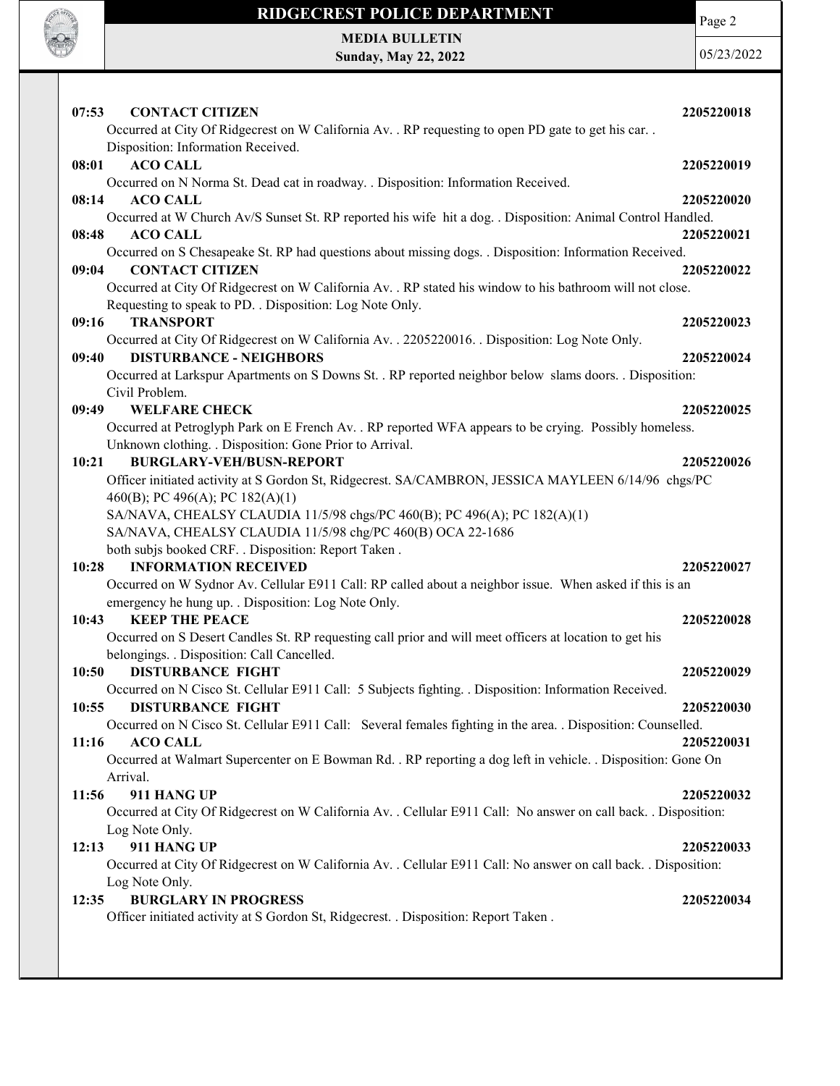

Page 2

MEDIA BULLETIN Sunday, May 22, 2022

05/23/2022

| 07:53<br><b>CONTACT CITIZEN</b><br>Occurred at City Of Ridgecrest on W California Av. . RP requesting to open PD gate to get his car. .                           | 2205220018 |
|-------------------------------------------------------------------------------------------------------------------------------------------------------------------|------------|
| Disposition: Information Received.                                                                                                                                |            |
| <b>ACO CALL</b><br>08:01                                                                                                                                          | 2205220019 |
| Occurred on N Norma St. Dead cat in roadway. . Disposition: Information Received.                                                                                 |            |
| 08:14<br><b>ACO CALL</b>                                                                                                                                          | 2205220020 |
| Occurred at W Church Av/S Sunset St. RP reported his wife hit a dog. . Disposition: Animal Control Handled.                                                       |            |
| <b>ACO CALL</b><br>08:48                                                                                                                                          | 2205220021 |
| Occurred on S Chesapeake St. RP had questions about missing dogs. . Disposition: Information Received.<br><b>CONTACT CITIZEN</b><br>09:04                         | 2205220022 |
| Occurred at City Of Ridgecrest on W California Av. . RP stated his window to his bathroom will not close.                                                         |            |
| Requesting to speak to PD. . Disposition: Log Note Only.                                                                                                          |            |
| 09:16<br><b>TRANSPORT</b>                                                                                                                                         | 2205220023 |
| Occurred at City Of Ridgecrest on W California Av. . 2205220016. . Disposition: Log Note Only.<br><b>DISTURBANCE - NEIGHBORS</b><br>09:40                         | 2205220024 |
| Occurred at Larkspur Apartments on S Downs St. . RP reported neighbor below slams doors. . Disposition:                                                           |            |
| Civil Problem.                                                                                                                                                    |            |
| <b>WELFARE CHECK</b><br>09:49                                                                                                                                     | 2205220025 |
| Occurred at Petroglyph Park on E French Av. . RP reported WFA appears to be crying. Possibly homeless.<br>Unknown clothing. . Disposition: Gone Prior to Arrival. |            |
| <b>BURGLARY-VEH/BUSN-REPORT</b><br>10:21                                                                                                                          | 2205220026 |
| Officer initiated activity at S Gordon St, Ridgecrest. SA/CAMBRON, JESSICA MAYLEEN 6/14/96 chgs/PC                                                                |            |
| 460(B); PC 496(A); PC 182(A)(1)                                                                                                                                   |            |
| SA/NAVA, CHEALSY CLAUDIA 11/5/98 chgs/PC 460(B); PC 496(A); PC 182(A)(1)                                                                                          |            |
| SA/NAVA, CHEALSY CLAUDIA 11/5/98 chg/PC 460(B) OCA 22-1686                                                                                                        |            |
| both subjs booked CRF. . Disposition: Report Taken.                                                                                                               |            |
| <b>INFORMATION RECEIVED</b><br>10:28                                                                                                                              | 2205220027 |
| Occurred on W Sydnor Av. Cellular E911 Call: RP called about a neighbor issue. When asked if this is an                                                           |            |
| emergency he hung up. . Disposition: Log Note Only.                                                                                                               |            |
| 10:43<br><b>KEEP THE PEACE</b>                                                                                                                                    | 2205220028 |
| Occurred on S Desert Candles St. RP requesting call prior and will meet officers at location to get his<br>belongings. . Disposition: Call Cancelled.             |            |
| <b>DISTURBANCE FIGHT</b><br>10:50                                                                                                                                 | 2205220029 |
| Occurred on N Cisco St. Cellular E911 Call: 5 Subjects fighting. . Disposition: Information Received.                                                             |            |
| 10:55<br><b>DISTURBANCE FIGHT</b>                                                                                                                                 | 2205220030 |
| Occurred on N Cisco St. Cellular E911 Call: Several females fighting in the area. . Disposition: Counselled.                                                      |            |
| 11:16<br><b>ACO CALL</b>                                                                                                                                          | 2205220031 |
| Occurred at Walmart Supercenter on E Bowman Rd. . RP reporting a dog left in vehicle. . Disposition: Gone On                                                      |            |
| Arrival.                                                                                                                                                          |            |
| 911 HANG UP<br>11:56                                                                                                                                              | 2205220032 |
| Occurred at City Of Ridgecrest on W California Av. . Cellular E911 Call: No answer on call back. . Disposition:                                                   |            |
| Log Note Only.                                                                                                                                                    |            |
| 911 HANG UP<br>12:13                                                                                                                                              | 2205220033 |
| Occurred at City Of Ridgecrest on W California Av. . Cellular E911 Call: No answer on call back. . Disposition:<br>Log Note Only.                                 |            |
| <b>BURGLARY IN PROGRESS</b><br>12:35                                                                                                                              | 2205220034 |
| Officer initiated activity at S Gordon St, Ridgecrest. . Disposition: Report Taken.                                                                               |            |
|                                                                                                                                                                   |            |
|                                                                                                                                                                   |            |
|                                                                                                                                                                   |            |
|                                                                                                                                                                   |            |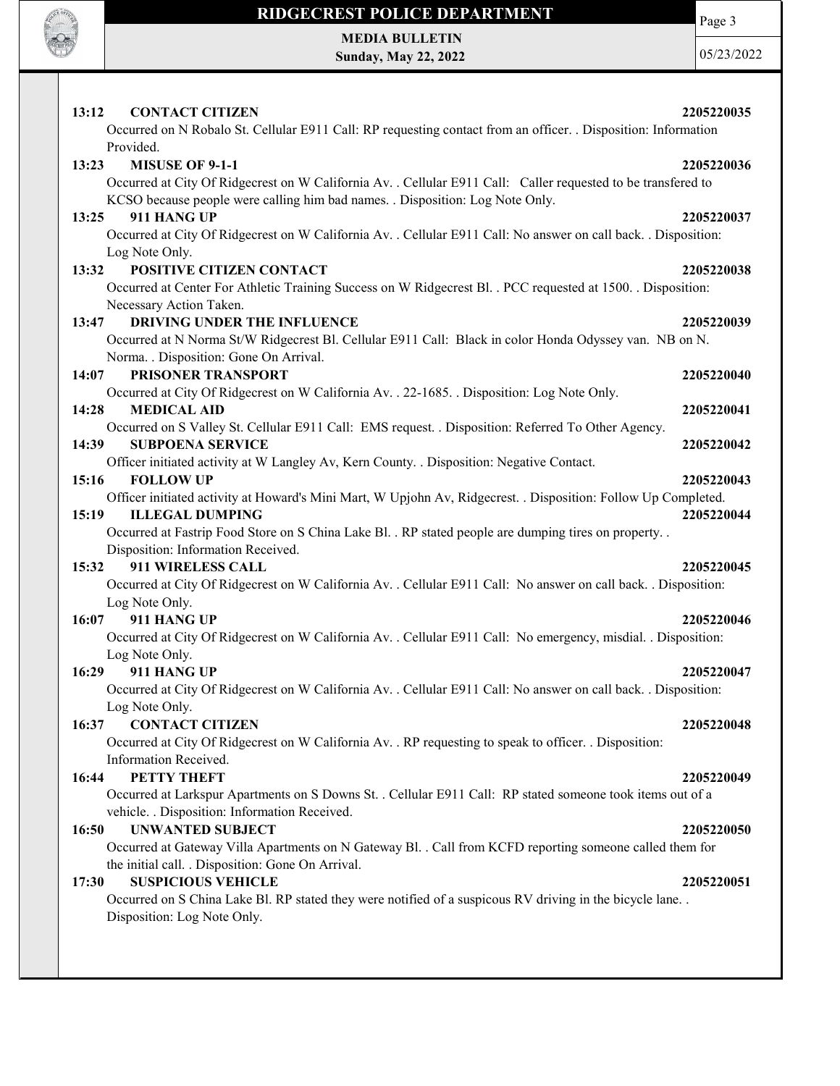

Page 3

MEDIA BULLETIN Sunday, May 22, 2022

05/23/2022

| 13:12 | <b>CONTACT CITIZEN</b><br>Occurred on N Robalo St. Cellular E911 Call: RP requesting contact from an officer. . Disposition: Information                    | 2205220035 |
|-------|-------------------------------------------------------------------------------------------------------------------------------------------------------------|------------|
|       | Provided.                                                                                                                                                   |            |
| 13:23 | <b>MISUSE OF 9-1-1</b>                                                                                                                                      | 2205220036 |
|       | Occurred at City Of Ridgecrest on W California Av. . Cellular E911 Call: Caller requested to be transfered to                                               |            |
|       | KCSO because people were calling him bad names. . Disposition: Log Note Only.                                                                               |            |
| 13:25 | 911 HANG UP                                                                                                                                                 | 2205220037 |
|       | Occurred at City Of Ridgecrest on W California Av. . Cellular E911 Call: No answer on call back. . Disposition:                                             |            |
|       | Log Note Only.                                                                                                                                              |            |
| 13:32 | POSITIVE CITIZEN CONTACT                                                                                                                                    | 2205220038 |
|       | Occurred at Center For Athletic Training Success on W Ridgecrest Bl. . PCC requested at 1500. . Disposition:                                                |            |
| 13:47 | Necessary Action Taken.<br><b>DRIVING UNDER THE INFLUENCE</b>                                                                                               |            |
|       | Occurred at N Norma St/W Ridgecrest Bl. Cellular E911 Call: Black in color Honda Odyssey van. NB on N.                                                      | 2205220039 |
|       | Norma. . Disposition: Gone On Arrival.                                                                                                                      |            |
| 14:07 | <b>PRISONER TRANSPORT</b>                                                                                                                                   | 2205220040 |
|       | Occurred at City Of Ridgecrest on W California Av. . 22-1685. . Disposition: Log Note Only.                                                                 |            |
| 14:28 | <b>MEDICAL AID</b>                                                                                                                                          | 2205220041 |
|       | Occurred on S Valley St. Cellular E911 Call: EMS request. . Disposition: Referred To Other Agency.                                                          |            |
| 14:39 | <b>SUBPOENA SERVICE</b>                                                                                                                                     | 2205220042 |
|       | Officer initiated activity at W Langley Av, Kern County. . Disposition: Negative Contact.                                                                   |            |
| 15:16 | <b>FOLLOW UP</b>                                                                                                                                            | 2205220043 |
|       | Officer initiated activity at Howard's Mini Mart, W Upjohn Av, Ridgecrest. . Disposition: Follow Up Completed.                                              |            |
| 15:19 | <b>ILLEGAL DUMPING</b>                                                                                                                                      | 2205220044 |
|       | Occurred at Fastrip Food Store on S China Lake Bl. . RP stated people are dumping tires on property. .                                                      |            |
|       | Disposition: Information Received.                                                                                                                          |            |
| 15:32 | 911 WIRELESS CALL                                                                                                                                           | 2205220045 |
|       | Occurred at City Of Ridgecrest on W California Av. . Cellular E911 Call: No answer on call back. . Disposition:                                             |            |
|       | Log Note Only.                                                                                                                                              |            |
| 16:07 | 911 HANG UP                                                                                                                                                 | 2205220046 |
|       | Occurred at City Of Ridgecrest on W California Av. . Cellular E911 Call: No emergency, misdial. . Disposition:                                              |            |
|       | Log Note Only.                                                                                                                                              |            |
| 16:29 | 911 HANG UP                                                                                                                                                 | 2205220047 |
|       | Occurred at City Of Ridgecrest on W California Av. . Cellular E911 Call: No answer on call back. . Disposition:                                             |            |
|       | Log Note Only.                                                                                                                                              |            |
| 16:37 | <b>CONTACT CITIZEN</b>                                                                                                                                      | 2205220048 |
|       | Occurred at City Of Ridgecrest on W California Av. . RP requesting to speak to officer. . Disposition:                                                      |            |
|       | Information Received.                                                                                                                                       |            |
| 16:44 | PETTY THEFT                                                                                                                                                 | 2205220049 |
|       | Occurred at Larkspur Apartments on S Downs St. . Cellular E911 Call: RP stated someone took items out of a<br>vehicle. . Disposition: Information Received. |            |
| 16:50 | <b>UNWANTED SUBJECT</b>                                                                                                                                     | 2205220050 |
|       | Occurred at Gateway Villa Apartments on N Gateway Bl. . Call from KCFD reporting someone called them for                                                    |            |
|       | the initial call. . Disposition: Gone On Arrival.                                                                                                           |            |
| 17:30 | <b>SUSPICIOUS VEHICLE</b>                                                                                                                                   | 2205220051 |
|       | Occurred on S China Lake Bl. RP stated they were notified of a suspicous RV driving in the bicycle lane. .                                                  |            |
|       | Disposition: Log Note Only.                                                                                                                                 |            |
|       |                                                                                                                                                             |            |
|       |                                                                                                                                                             |            |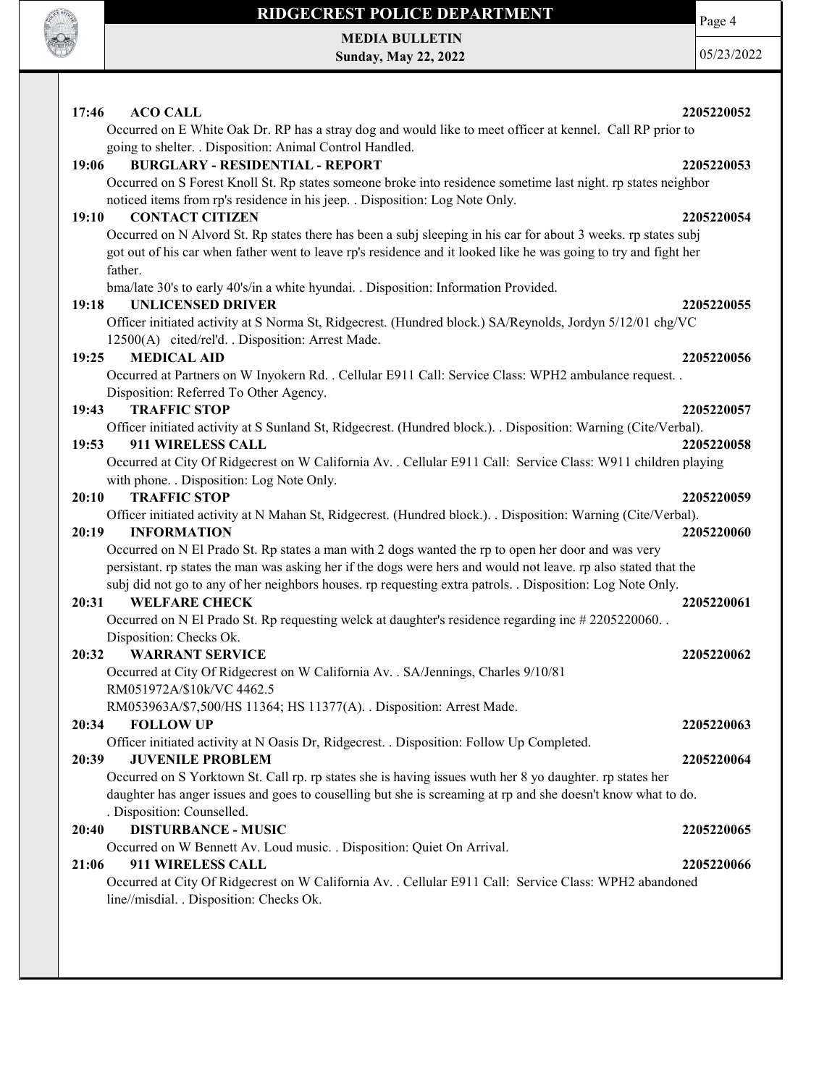

MEDIA BULLETIN Sunday, May 22, 2022

05/23/2022

Page 4

| 17:46<br><b>ACO CALL</b>                                                                                                                                              | 2205220052 |
|-----------------------------------------------------------------------------------------------------------------------------------------------------------------------|------------|
| Occurred on E White Oak Dr. RP has a stray dog and would like to meet officer at kennel. Call RP prior to<br>going to shelter. . Disposition: Animal Control Handled. |            |
| <b>BURGLARY - RESIDENTIAL - REPORT</b><br>19:06                                                                                                                       | 2205220053 |
| Occurred on S Forest Knoll St. Rp states someone broke into residence sometime last night. rp states neighbor                                                         |            |
| noticed items from rp's residence in his jeep. . Disposition: Log Note Only.                                                                                          |            |
| <b>CONTACT CITIZEN</b><br>19:10                                                                                                                                       | 2205220054 |
| Occurred on N Alvord St. Rp states there has been a subj sleeping in his car for about 3 weeks. rp states subj                                                        |            |
| got out of his car when father went to leave rp's residence and it looked like he was going to try and fight her                                                      |            |
| father.                                                                                                                                                               |            |
| bma/late 30's to early 40's/in a white hyundai. . Disposition: Information Provided.                                                                                  |            |
| <b>UNLICENSED DRIVER</b><br>19:18                                                                                                                                     | 2205220055 |
| Officer initiated activity at S Norma St, Ridgecrest. (Hundred block.) SA/Reynolds, Jordyn 5/12/01 chg/VC                                                             |            |
| 12500(A) cited/rel'd. . Disposition: Arrest Made.                                                                                                                     |            |
| <b>MEDICAL AID</b><br>19:25                                                                                                                                           | 2205220056 |
| Occurred at Partners on W Inyokern Rd. . Cellular E911 Call: Service Class: WPH2 ambulance request. .                                                                 |            |
| Disposition: Referred To Other Agency.                                                                                                                                |            |
| <b>TRAFFIC STOP</b><br>19:43                                                                                                                                          | 2205220057 |
| Officer initiated activity at S Sunland St, Ridgecrest. (Hundred block.). . Disposition: Warning (Cite/Verbal).<br>911 WIRELESS CALL<br>19:53                         | 2205220058 |
| Occurred at City Of Ridgecrest on W California Av. . Cellular E911 Call: Service Class: W911 children playing                                                         |            |
| with phone. . Disposition: Log Note Only.                                                                                                                             |            |
| <b>TRAFFIC STOP</b><br>20:10                                                                                                                                          | 2205220059 |
| Officer initiated activity at N Mahan St, Ridgecrest. (Hundred block.). . Disposition: Warning (Cite/Verbal).                                                         |            |
| 20:19<br><b>INFORMATION</b>                                                                                                                                           | 2205220060 |
| Occurred on N El Prado St. Rp states a man with 2 dogs wanted the rp to open her door and was very                                                                    |            |
| persistant. rp states the man was asking her if the dogs were hers and would not leave. rp also stated that the                                                       |            |
| subj did not go to any of her neighbors houses. rp requesting extra patrols. . Disposition: Log Note Only.                                                            |            |
| <b>WELFARE CHECK</b><br>20:31                                                                                                                                         | 2205220061 |
| Occurred on N El Prado St. Rp requesting welck at daughter's residence regarding inc #2205220060.                                                                     |            |
| Disposition: Checks Ok.                                                                                                                                               |            |
| <b>WARRANT SERVICE</b><br>20:32                                                                                                                                       | 2205220062 |
| Occurred at City Of Ridgecrest on W California Av. . SA/Jennings, Charles 9/10/81                                                                                     |            |
| RM051972A/\$10k/VC 4462.5                                                                                                                                             |            |
| RM053963A/\$7,500/HS 11364; HS 11377(A). . Disposition: Arrest Made.                                                                                                  |            |
| <b>FOLLOW UP</b><br>20:34                                                                                                                                             | 2205220063 |
| Officer initiated activity at N Oasis Dr, Ridgecrest. . Disposition: Follow Up Completed.                                                                             |            |
| <b>JUVENILE PROBLEM</b><br>20:39                                                                                                                                      | 2205220064 |
| Occurred on S Yorktown St. Call rp. rp states she is having issues wuth her 8 yo daughter. rp states her                                                              |            |
| daughter has anger issues and goes to couselling but she is screaming at rp and she doesn't know what to do.                                                          |            |
| . Disposition: Counselled.                                                                                                                                            |            |
| <b>DISTURBANCE - MUSIC</b><br>20:40                                                                                                                                   | 2205220065 |
| Occurred on W Bennett Av. Loud music. . Disposition: Quiet On Arrival.                                                                                                |            |
| 911 WIRELESS CALL<br>21:06                                                                                                                                            | 2205220066 |
| Occurred at City Of Ridgecrest on W California Av. . Cellular E911 Call: Service Class: WPH2 abandoned                                                                |            |
| line//misdial. . Disposition: Checks Ok.                                                                                                                              |            |
|                                                                                                                                                                       |            |